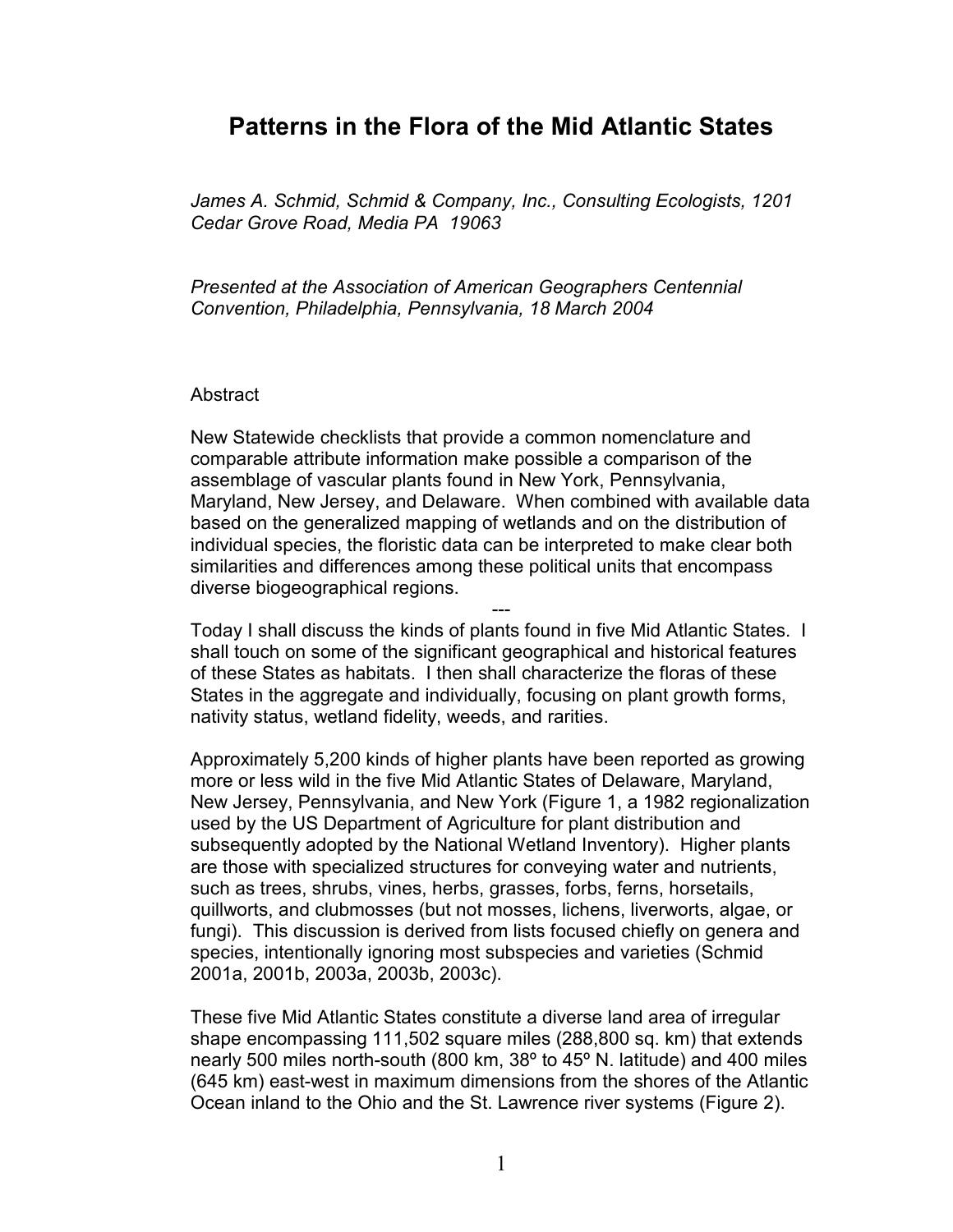## **Patterns in the Flora of the Mid Atlantic States**

*James A. Schmid, Schmid & Company, Inc., Consulting Ecologists, 1201 Cedar Grove Road, Media PA 19063* 

*Presented at the Association of American Geographers Centennial Convention, Philadelphia, Pennsylvania, 18 March 2004* 

## **Abstract**

New Statewide checklists that provide a common nomenclature and comparable attribute information make possible a comparison of the assemblage of vascular plants found in New York, Pennsylvania, Maryland, New Jersey, and Delaware. When combined with available data based on the generalized mapping of wetlands and on the distribution of individual species, the floristic data can be interpreted to make clear both similarities and differences among these political units that encompass diverse biogeographical regions.

--- Today I shall discuss the kinds of plants found in five Mid Atlantic States. I shall touch on some of the significant geographical and historical features of these States as habitats. I then shall characterize the floras of these States in the aggregate and individually, focusing on plant growth forms, nativity status, wetland fidelity, weeds, and rarities.

Approximately 5,200 kinds of higher plants have been reported as growing more or less wild in the five Mid Atlantic States of Delaware, Maryland, New Jersey, Pennsylvania, and New York (Figure 1, a 1982 regionalization used by the US Department of Agriculture for plant distribution and subsequently adopted by the National Wetland Inventory). Higher plants are those with specialized structures for conveying water and nutrients, such as trees, shrubs, vines, herbs, grasses, forbs, ferns, horsetails, quillworts, and clubmosses (but not mosses, lichens, liverworts, algae, or fungi). This discussion is derived from lists focused chiefly on genera and species, intentionally ignoring most subspecies and varieties (Schmid 2001a, 2001b, 2003a, 2003b, 2003c).

These five Mid Atlantic States constitute a diverse land area of irregular shape encompassing 111,502 square miles (288,800 sq. km) that extends nearly 500 miles north-south (800 km, 38º to 45º N. latitude) and 400 miles (645 km) east-west in maximum dimensions from the shores of the Atlantic Ocean inland to the Ohio and the St. Lawrence river systems (Figure 2).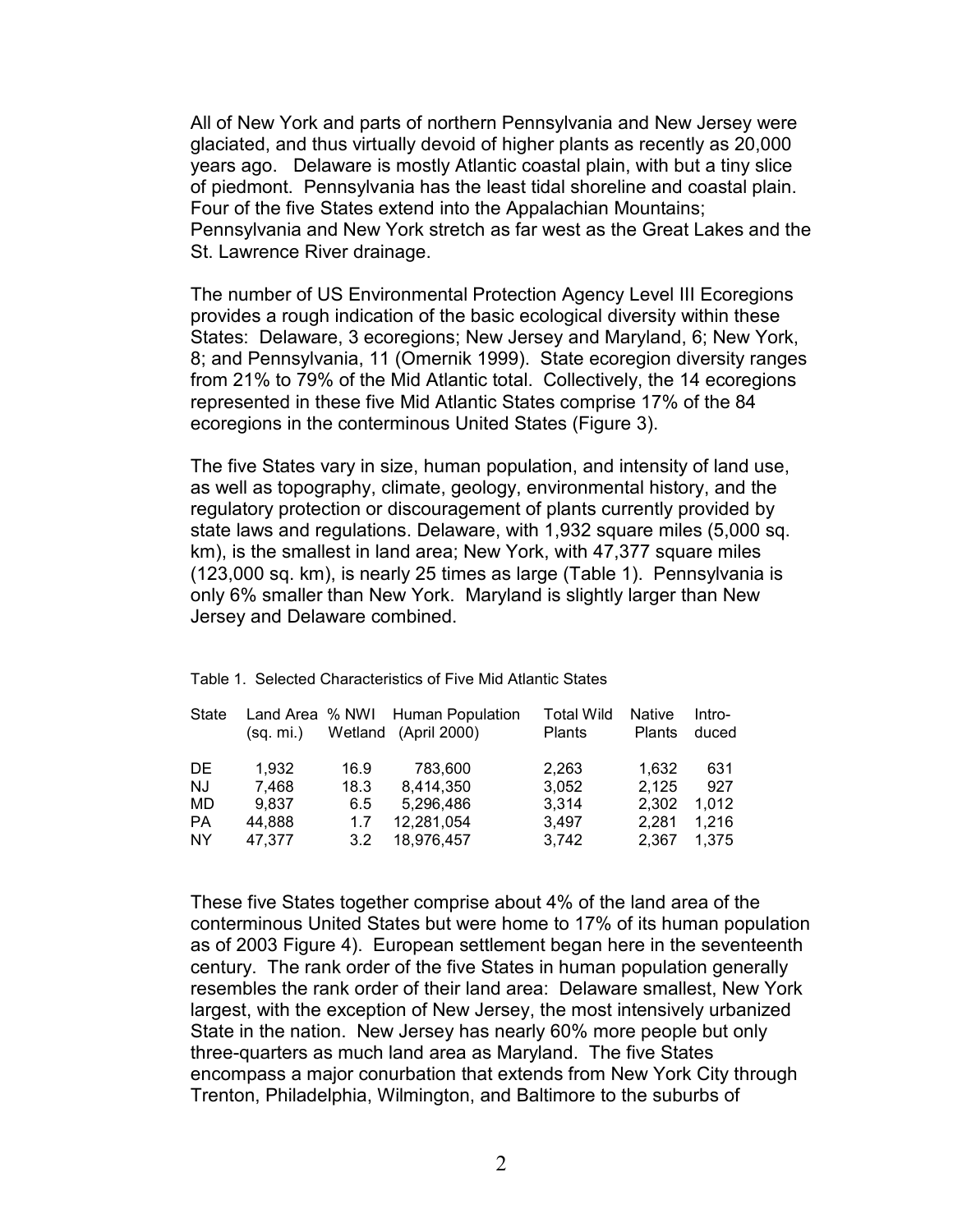All of New York and parts of northern Pennsylvania and New Jersey were glaciated, and thus virtually devoid of higher plants as recently as 20,000 years ago. Delaware is mostly Atlantic coastal plain, with but a tiny slice of piedmont. Pennsylvania has the least tidal shoreline and coastal plain. Four of the five States extend into the Appalachian Mountains; Pennsylvania and New York stretch as far west as the Great Lakes and the St. Lawrence River drainage.

The number of US Environmental Protection Agency Level III Ecoregions provides a rough indication of the basic ecological diversity within these States: Delaware, 3 ecoregions; New Jersey and Maryland, 6; New York, 8; and Pennsylvania, 11 (Omernik 1999). State ecoregion diversity ranges from 21% to 79% of the Mid Atlantic total. Collectively, the 14 ecoregions represented in these five Mid Atlantic States comprise 17% of the 84 ecoregions in the conterminous United States (Figure 3).

The five States vary in size, human population, and intensity of land use, as well as topography, climate, geology, environmental history, and the regulatory protection or discouragement of plants currently provided by state laws and regulations. Delaware, with 1,932 square miles (5,000 sq. km), is the smallest in land area; New York, with 47,377 square miles (123,000 sq. km), is nearly 25 times as large (Table 1). Pennsylvania is only 6% smaller than New York. Maryland is slightly larger than New Jersey and Delaware combined.

| State     | Land Area % NWI<br>(sq. mi.) |      | Human Population<br>Wetland (April 2000) | <b>Total Wild</b><br><b>Plants</b> | <b>Native</b><br><b>Plants</b> | Intro-<br>duced |
|-----------|------------------------------|------|------------------------------------------|------------------------------------|--------------------------------|-----------------|
| DE.       | 1.932                        | 16.9 | 783,600                                  | 2,263                              | 1.632                          | 631             |
| <b>NJ</b> | 7.468                        | 18.3 | 8,414,350                                | 3,052                              | 2,125                          | 927             |
| MD        | 9.837                        | 6.5  | 5,296,486                                | 3.314                              | 2.302                          | 1.012           |
| <b>PA</b> | 44.888                       | 1.7  | 12,281,054                               | 3.497                              | 2.281                          | 1.216           |
| <b>NY</b> | 47.377                       | 3.2  | 18,976,457                               | 3.742                              | 2,367                          | 1.375           |

Table 1. Selected Characteristics of Five Mid Atlantic States

These five States together comprise about 4% of the land area of the conterminous United States but were home to 17% of its human population as of 2003 Figure 4). European settlement began here in the seventeenth century. The rank order of the five States in human population generally resembles the rank order of their land area: Delaware smallest, New York largest, with the exception of New Jersey, the most intensively urbanized State in the nation. New Jersey has nearly 60% more people but only three-quarters as much land area as Maryland. The five States encompass a major conurbation that extends from New York City through Trenton, Philadelphia, Wilmington, and Baltimore to the suburbs of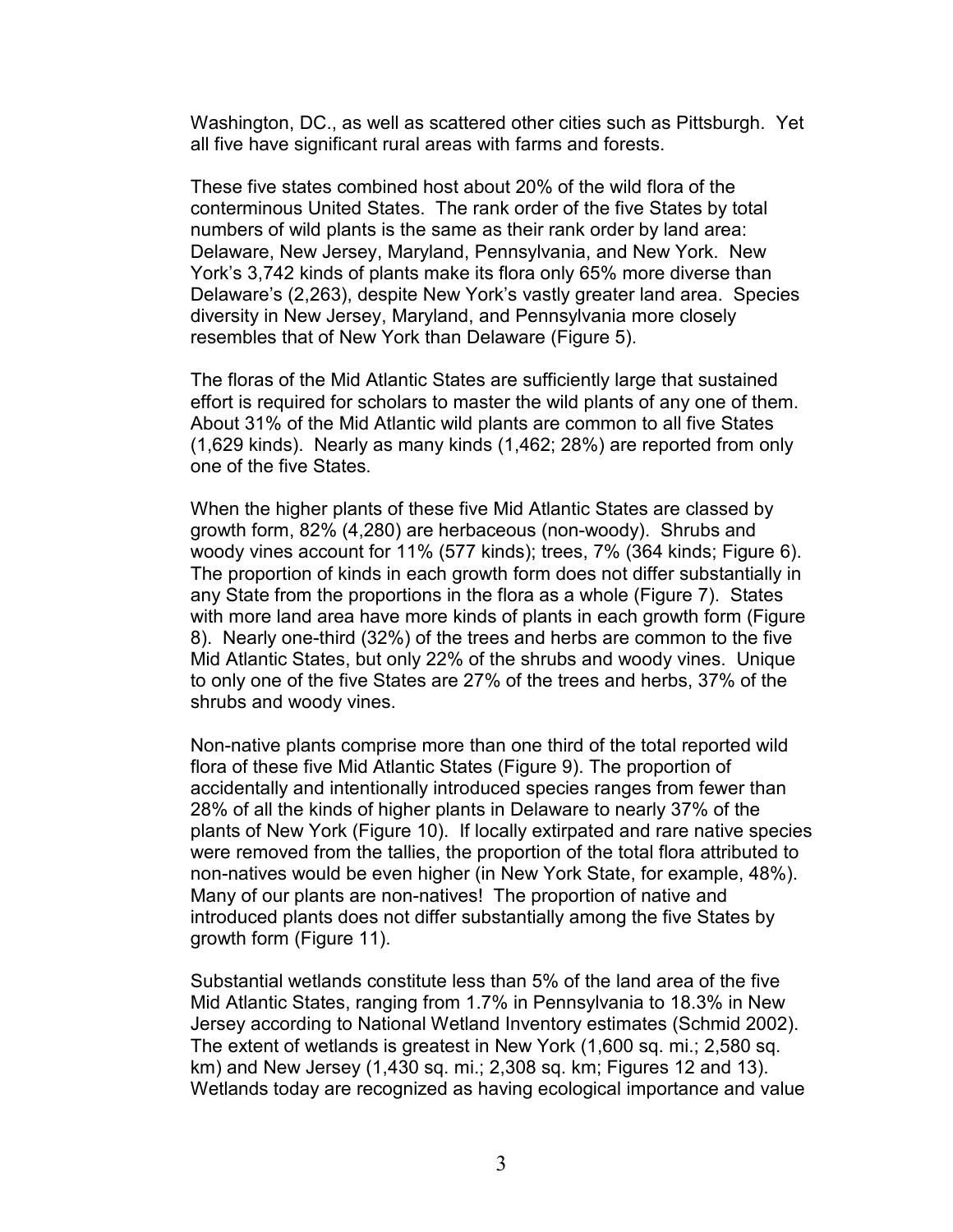Washington, DC., as well as scattered other cities such as Pittsburgh. Yet all five have significant rural areas with farms and forests.

These five states combined host about 20% of the wild flora of the conterminous United States. The rank order of the five States by total numbers of wild plants is the same as their rank order by land area: Delaware, New Jersey, Maryland, Pennsylvania, and New York. New York's 3,742 kinds of plants make its flora only 65% more diverse than Delaware's (2,263), despite New York's vastly greater land area. Species diversity in New Jersey, Maryland, and Pennsylvania more closely resembles that of New York than Delaware (Figure 5).

The floras of the Mid Atlantic States are sufficiently large that sustained effort is required for scholars to master the wild plants of any one of them. About 31% of the Mid Atlantic wild plants are common to all five States (1,629 kinds). Nearly as many kinds (1,462; 28%) are reported from only one of the five States.

When the higher plants of these five Mid Atlantic States are classed by growth form, 82% (4,280) are herbaceous (non-woody). Shrubs and woody vines account for 11% (577 kinds); trees, 7% (364 kinds; Figure 6). The proportion of kinds in each growth form does not differ substantially in any State from the proportions in the flora as a whole (Figure 7). States with more land area have more kinds of plants in each growth form (Figure 8). Nearly one-third (32%) of the trees and herbs are common to the five Mid Atlantic States, but only 22% of the shrubs and woody vines. Unique to only one of the five States are 27% of the trees and herbs, 37% of the shrubs and woody vines.

Non-native plants comprise more than one third of the total reported wild flora of these five Mid Atlantic States (Figure 9). The proportion of accidentally and intentionally introduced species ranges from fewer than 28% of all the kinds of higher plants in Delaware to nearly 37% of the plants of New York (Figure 10). If locally extirpated and rare native species were removed from the tallies, the proportion of the total flora attributed to non-natives would be even higher (in New York State, for example, 48%). Many of our plants are non-natives! The proportion of native and introduced plants does not differ substantially among the five States by growth form (Figure 11).

Substantial wetlands constitute less than 5% of the land area of the five Mid Atlantic States, ranging from 1.7% in Pennsylvania to 18.3% in New Jersey according to National Wetland Inventory estimates (Schmid 2002). The extent of wetlands is greatest in New York (1,600 sq. mi.; 2,580 sq. km) and New Jersey (1,430 sq. mi.; 2,308 sq. km; Figures 12 and 13). Wetlands today are recognized as having ecological importance and value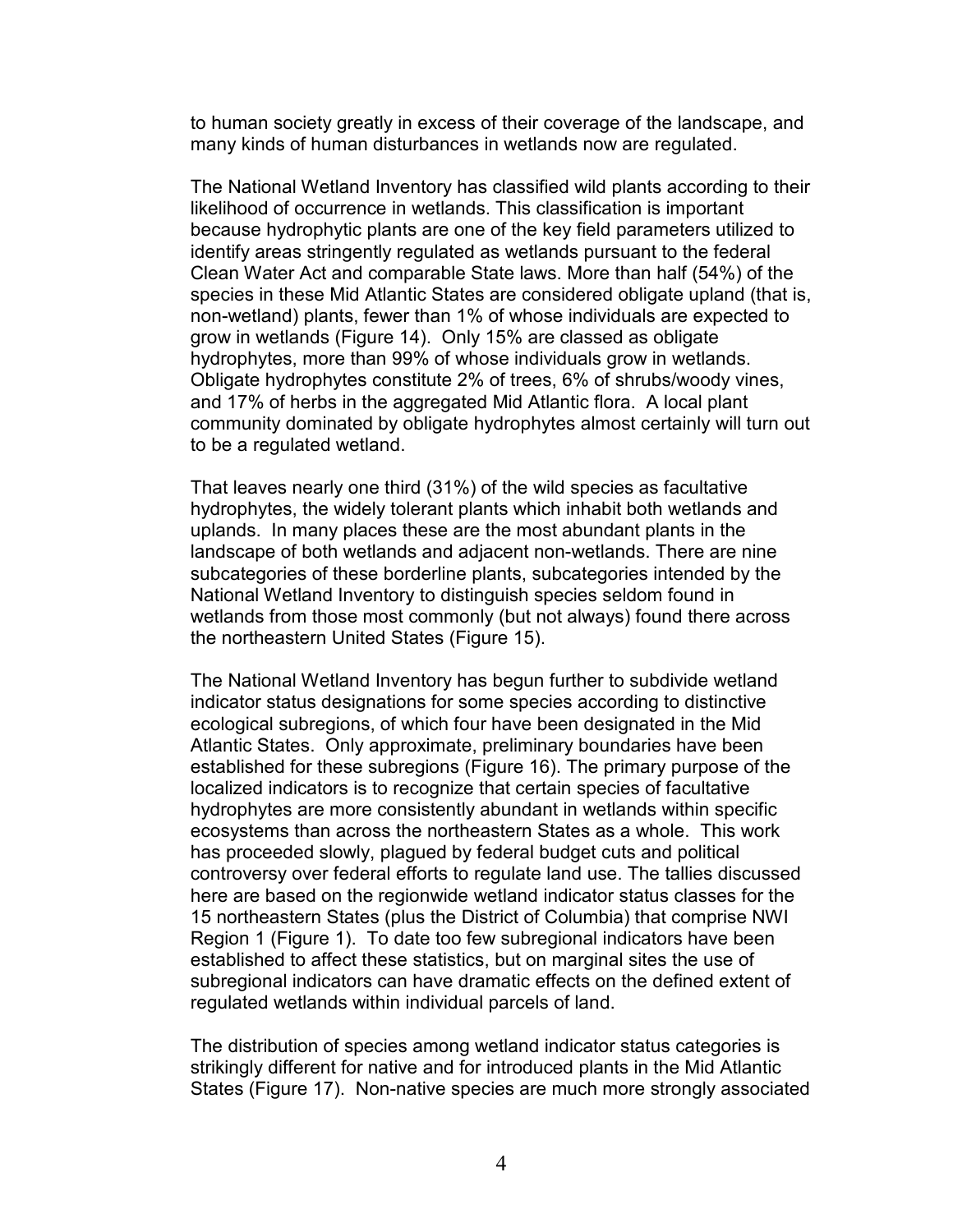to human society greatly in excess of their coverage of the landscape, and many kinds of human disturbances in wetlands now are regulated.

The National Wetland Inventory has classified wild plants according to their likelihood of occurrence in wetlands. This classification is important because hydrophytic plants are one of the key field parameters utilized to identify areas stringently regulated as wetlands pursuant to the federal Clean Water Act and comparable State laws. More than half (54%) of the species in these Mid Atlantic States are considered obligate upland (that is, non-wetland) plants, fewer than 1% of whose individuals are expected to grow in wetlands (Figure 14). Only 15% are classed as obligate hydrophytes, more than 99% of whose individuals grow in wetlands. Obligate hydrophytes constitute 2% of trees, 6% of shrubs/woody vines, and 17% of herbs in the aggregated Mid Atlantic flora. A local plant community dominated by obligate hydrophytes almost certainly will turn out to be a regulated wetland.

That leaves nearly one third (31%) of the wild species as facultative hydrophytes, the widely tolerant plants which inhabit both wetlands and uplands. In many places these are the most abundant plants in the landscape of both wetlands and adjacent non-wetlands. There are nine subcategories of these borderline plants, subcategories intended by the National Wetland Inventory to distinguish species seldom found in wetlands from those most commonly (but not always) found there across the northeastern United States (Figure 15).

The National Wetland Inventory has begun further to subdivide wetland indicator status designations for some species according to distinctive ecological subregions, of which four have been designated in the Mid Atlantic States. Only approximate, preliminary boundaries have been established for these subregions (Figure 16). The primary purpose of the localized indicators is to recognize that certain species of facultative hydrophytes are more consistently abundant in wetlands within specific ecosystems than across the northeastern States as a whole. This work has proceeded slowly, plagued by federal budget cuts and political controversy over federal efforts to regulate land use. The tallies discussed here are based on the regionwide wetland indicator status classes for the 15 northeastern States (plus the District of Columbia) that comprise NWI Region 1 (Figure 1). To date too few subregional indicators have been established to affect these statistics, but on marginal sites the use of subregional indicators can have dramatic effects on the defined extent of regulated wetlands within individual parcels of land.

The distribution of species among wetland indicator status categories is strikingly different for native and for introduced plants in the Mid Atlantic States (Figure 17). Non-native species are much more strongly associated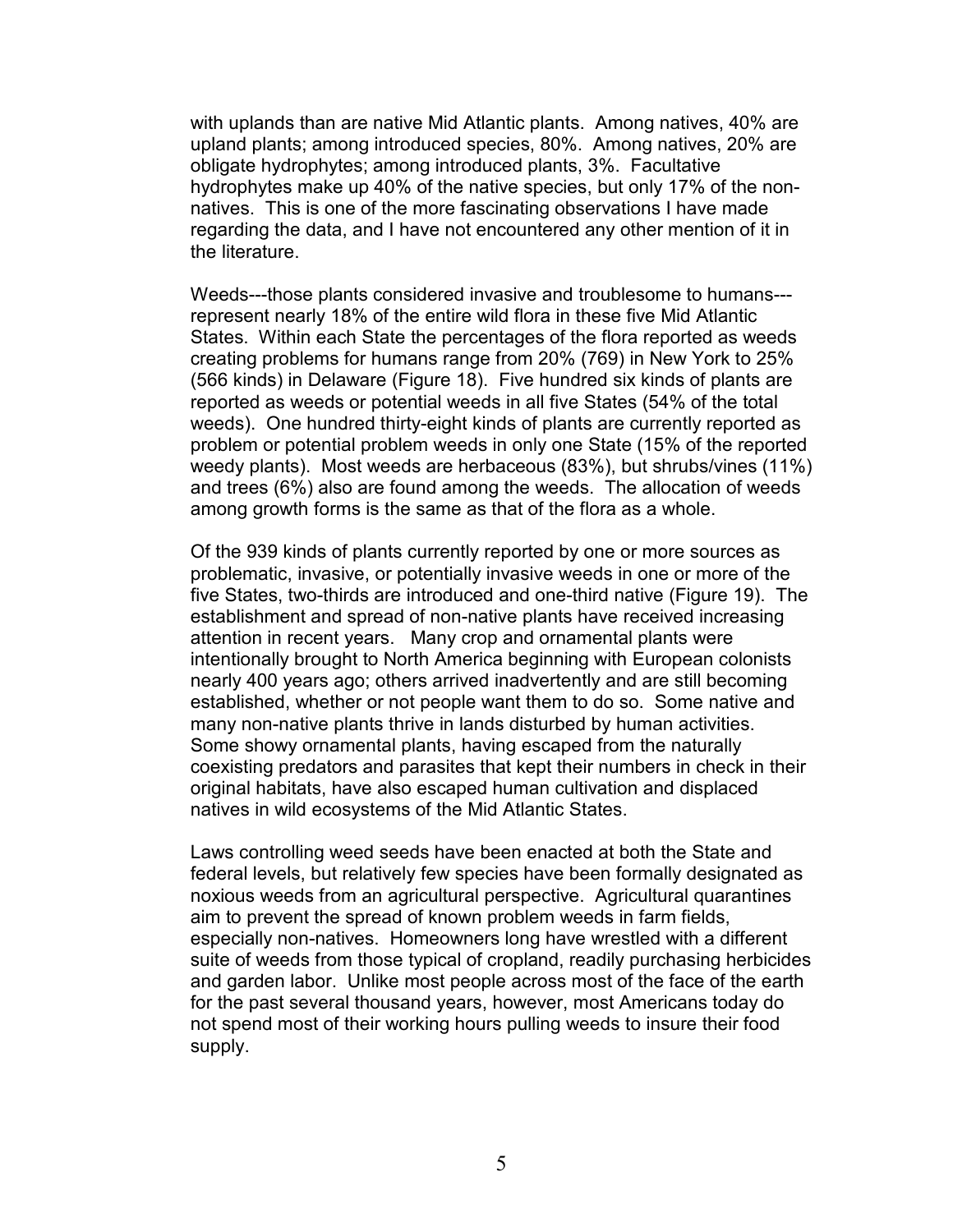with uplands than are native Mid Atlantic plants. Among natives, 40% are upland plants; among introduced species, 80%. Among natives, 20% are obligate hydrophytes; among introduced plants, 3%. Facultative hydrophytes make up 40% of the native species, but only 17% of the nonnatives. This is one of the more fascinating observations I have made regarding the data, and I have not encountered any other mention of it in the literature.

Weeds---those plants considered invasive and troublesome to humans-- represent nearly 18% of the entire wild flora in these five Mid Atlantic States. Within each State the percentages of the flora reported as weeds creating problems for humans range from 20% (769) in New York to 25% (566 kinds) in Delaware (Figure 18). Five hundred six kinds of plants are reported as weeds or potential weeds in all five States (54% of the total weeds). One hundred thirty-eight kinds of plants are currently reported as problem or potential problem weeds in only one State (15% of the reported weedy plants). Most weeds are herbaceous (83%), but shrubs/vines (11%) and trees (6%) also are found among the weeds. The allocation of weeds among growth forms is the same as that of the flora as a whole.

Of the 939 kinds of plants currently reported by one or more sources as problematic, invasive, or potentially invasive weeds in one or more of the five States, two-thirds are introduced and one-third native (Figure 19). The establishment and spread of non-native plants have received increasing attention in recent years. Many crop and ornamental plants were intentionally brought to North America beginning with European colonists nearly 400 years ago; others arrived inadvertently and are still becoming established, whether or not people want them to do so. Some native and many non-native plants thrive in lands disturbed by human activities. Some showy ornamental plants, having escaped from the naturally coexisting predators and parasites that kept their numbers in check in their original habitats, have also escaped human cultivation and displaced natives in wild ecosystems of the Mid Atlantic States.

Laws controlling weed seeds have been enacted at both the State and federal levels, but relatively few species have been formally designated as noxious weeds from an agricultural perspective. Agricultural quarantines aim to prevent the spread of known problem weeds in farm fields, especially non-natives. Homeowners long have wrestled with a different suite of weeds from those typical of cropland, readily purchasing herbicides and garden labor. Unlike most people across most of the face of the earth for the past several thousand years, however, most Americans today do not spend most of their working hours pulling weeds to insure their food supply.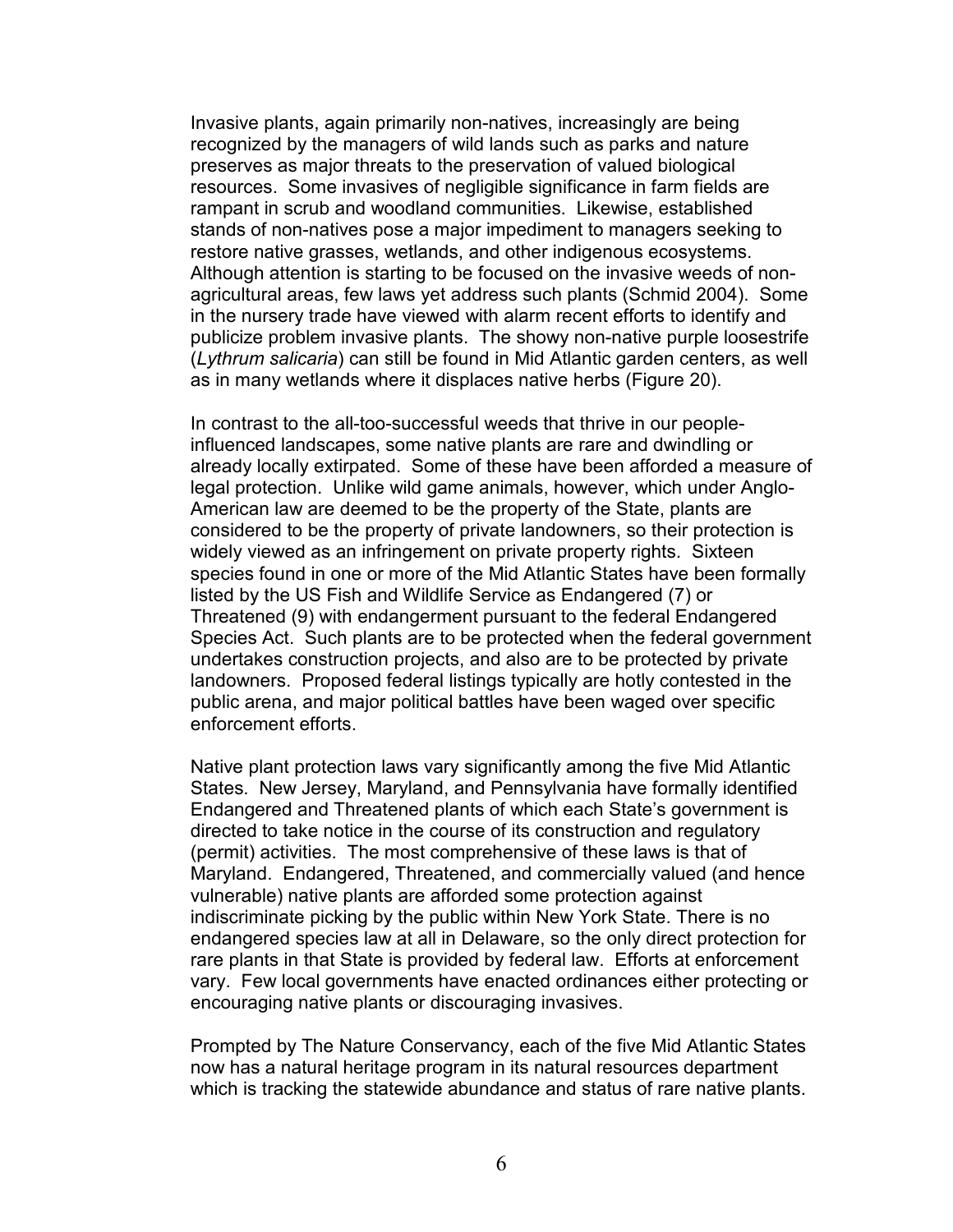Invasive plants, again primarily non-natives, increasingly are being recognized by the managers of wild lands such as parks and nature preserves as major threats to the preservation of valued biological resources. Some invasives of negligible significance in farm fields are rampant in scrub and woodland communities. Likewise, established stands of non-natives pose a major impediment to managers seeking to restore native grasses, wetlands, and other indigenous ecosystems. Although attention is starting to be focused on the invasive weeds of nonagricultural areas, few laws yet address such plants (Schmid 2004). Some in the nursery trade have viewed with alarm recent efforts to identify and publicize problem invasive plants. The showy non-native purple loosestrife (*Lythrum salicaria*) can still be found in Mid Atlantic garden centers, as well as in many wetlands where it displaces native herbs (Figure 20).

In contrast to the all-too-successful weeds that thrive in our peopleinfluenced landscapes, some native plants are rare and dwindling or already locally extirpated. Some of these have been afforded a measure of legal protection. Unlike wild game animals, however, which under Anglo-American law are deemed to be the property of the State, plants are considered to be the property of private landowners, so their protection is widely viewed as an infringement on private property rights. Sixteen species found in one or more of the Mid Atlantic States have been formally listed by the US Fish and Wildlife Service as Endangered (7) or Threatened (9) with endangerment pursuant to the federal Endangered Species Act. Such plants are to be protected when the federal government undertakes construction projects, and also are to be protected by private landowners. Proposed federal listings typically are hotly contested in the public arena, and major political battles have been waged over specific enforcement efforts.

Native plant protection laws vary significantly among the five Mid Atlantic States. New Jersey, Maryland, and Pennsylvania have formally identified Endangered and Threatened plants of which each State's government is directed to take notice in the course of its construction and regulatory (permit) activities. The most comprehensive of these laws is that of Maryland. Endangered, Threatened, and commercially valued (and hence vulnerable) native plants are afforded some protection against indiscriminate picking by the public within New York State. There is no endangered species law at all in Delaware, so the only direct protection for rare plants in that State is provided by federal law. Efforts at enforcement vary. Few local governments have enacted ordinances either protecting or encouraging native plants or discouraging invasives.

Prompted by The Nature Conservancy, each of the five Mid Atlantic States now has a natural heritage program in its natural resources department which is tracking the statewide abundance and status of rare native plants.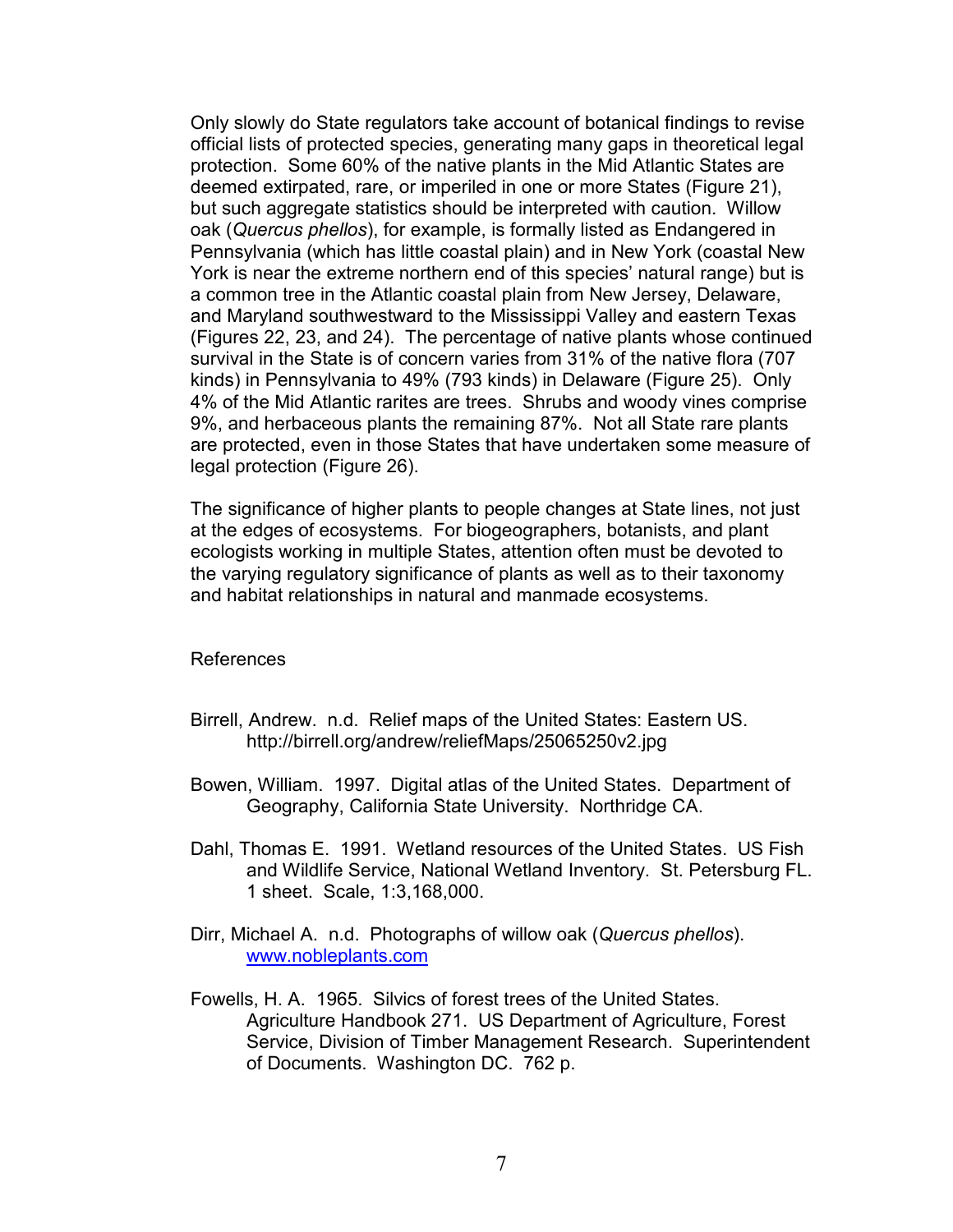Only slowly do State regulators take account of botanical findings to revise official lists of protected species, generating many gaps in theoretical legal protection. Some 60% of the native plants in the Mid Atlantic States are deemed extirpated, rare, or imperiled in one or more States (Figure 21), but such aggregate statistics should be interpreted with caution. Willow oak (*Quercus phellos*), for example, is formally listed as Endangered in Pennsylvania (which has little coastal plain) and in New York (coastal New York is near the extreme northern end of this species' natural range) but is a common tree in the Atlantic coastal plain from New Jersey, Delaware, and Maryland southwestward to the Mississippi Valley and eastern Texas (Figures 22, 23, and 24). The percentage of native plants whose continued survival in the State is of concern varies from 31% of the native flora (707 kinds) in Pennsylvania to 49% (793 kinds) in Delaware (Figure 25). Only 4% of the Mid Atlantic rarites are trees. Shrubs and woody vines comprise 9%, and herbaceous plants the remaining 87%. Not all State rare plants are protected, even in those States that have undertaken some measure of legal protection (Figure 26).

The significance of higher plants to people changes at State lines, not just at the edges of ecosystems. For biogeographers, botanists, and plant ecologists working in multiple States, attention often must be devoted to the varying regulatory significance of plants as well as to their taxonomy and habitat relationships in natural and manmade ecosystems.

## References

- Birrell, Andrew. n.d. Relief maps of the United States: Eastern US. http://birrell.org/andrew/reliefMaps/25065250v2.jpg
- Bowen, William. 1997. Digital atlas of the United States. Department of Geography, California State University. Northridge CA.
- Dahl, Thomas E. 1991. Wetland resources of the United States. US Fish and Wildlife Service, National Wetland Inventory. St. Petersburg FL. 1 sheet. Scale, 1:3,168,000.
- Dirr, Michael A. n.d. Photographs of willow oak (*Quercus phellos*). www.nobleplants.com
- Fowells, H. A. 1965. Silvics of forest trees of the United States. Agriculture Handbook 271. US Department of Agriculture, Forest Service, Division of Timber Management Research. Superintendent of Documents. Washington DC. 762 p.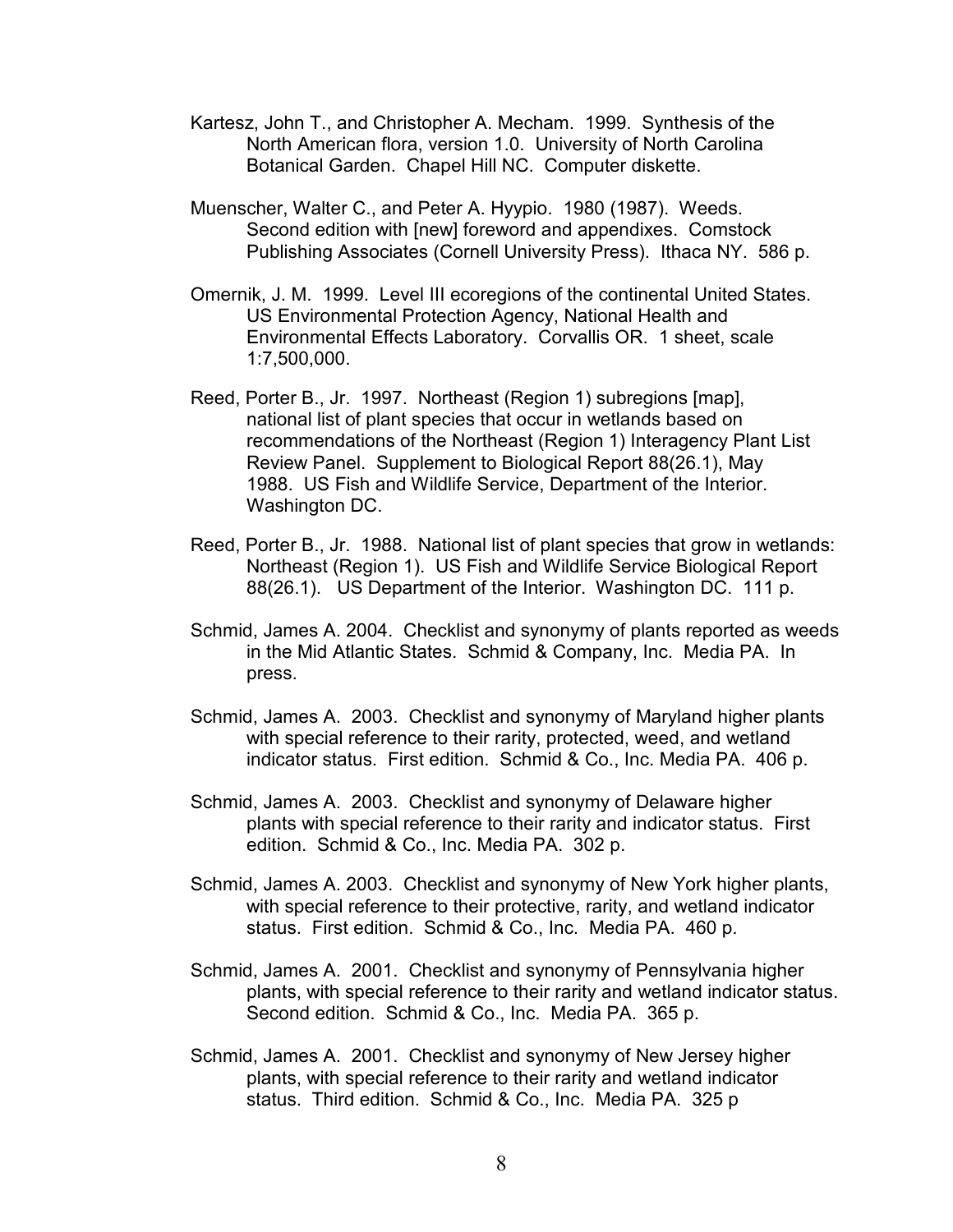- Kartesz, John T., and Christopher A. Mecham. 1999. Synthesis of the North American flora, version 1.0. University of North Carolina Botanical Garden. Chapel Hill NC. Computer diskette.
- Muenscher, Walter C., and Peter A. Hyypio. 1980 (1987). Weeds. Second edition with [new] foreword and appendixes. Comstock Publishing Associates (Cornell University Press). Ithaca NY. 586 p.
- Omernik, J. M. 1999. Level III ecoregions of the continental United States. US Environmental Protection Agency, National Health and Environmental Effects Laboratory. Corvallis OR. 1 sheet, scale 1:7,500,000.
- Reed, Porter B., Jr. 1997. Northeast (Region 1) subregions [map], national list of plant species that occur in wetlands based on recommendations of the Northeast (Region 1) Interagency Plant List Review Panel. Supplement to Biological Report 88(26.1), May 1988. US Fish and Wildlife Service, Department of the Interior. Washington DC.
- Reed, Porter B., Jr. 1988. National list of plant species that grow in wetlands: Northeast (Region 1). US Fish and Wildlife Service Biological Report 88(26.1). US Department of the Interior. Washington DC. 111 p.
- Schmid, James A. 2004. Checklist and synonymy of plants reported as weeds in the Mid Atlantic States. Schmid & Company, Inc. Media PA. In press.
- Schmid, James A. 2003. Checklist and synonymy of Maryland higher plants with special reference to their rarity, protected, weed, and wetland indicator status. First edition. Schmid & Co., Inc. Media PA. 406 p.
- Schmid, James A. 2003. Checklist and synonymy of Delaware higher plants with special reference to their rarity and indicator status. First edition. Schmid & Co., Inc. Media PA. 302 p.
- Schmid, James A. 2003. Checklist and synonymy of New York higher plants, with special reference to their protective, rarity, and wetland indicator status. First edition. Schmid & Co., Inc. Media PA. 460 p.
- Schmid, James A. 2001. Checklist and synonymy of Pennsylvania higher plants, with special reference to their rarity and wetland indicator status. Second edition. Schmid & Co., Inc. Media PA. 365 p.
- Schmid, James A. 2001. Checklist and synonymy of New Jersey higher plants, with special reference to their rarity and wetland indicator status. Third edition. Schmid & Co., Inc. Media PA. 325 p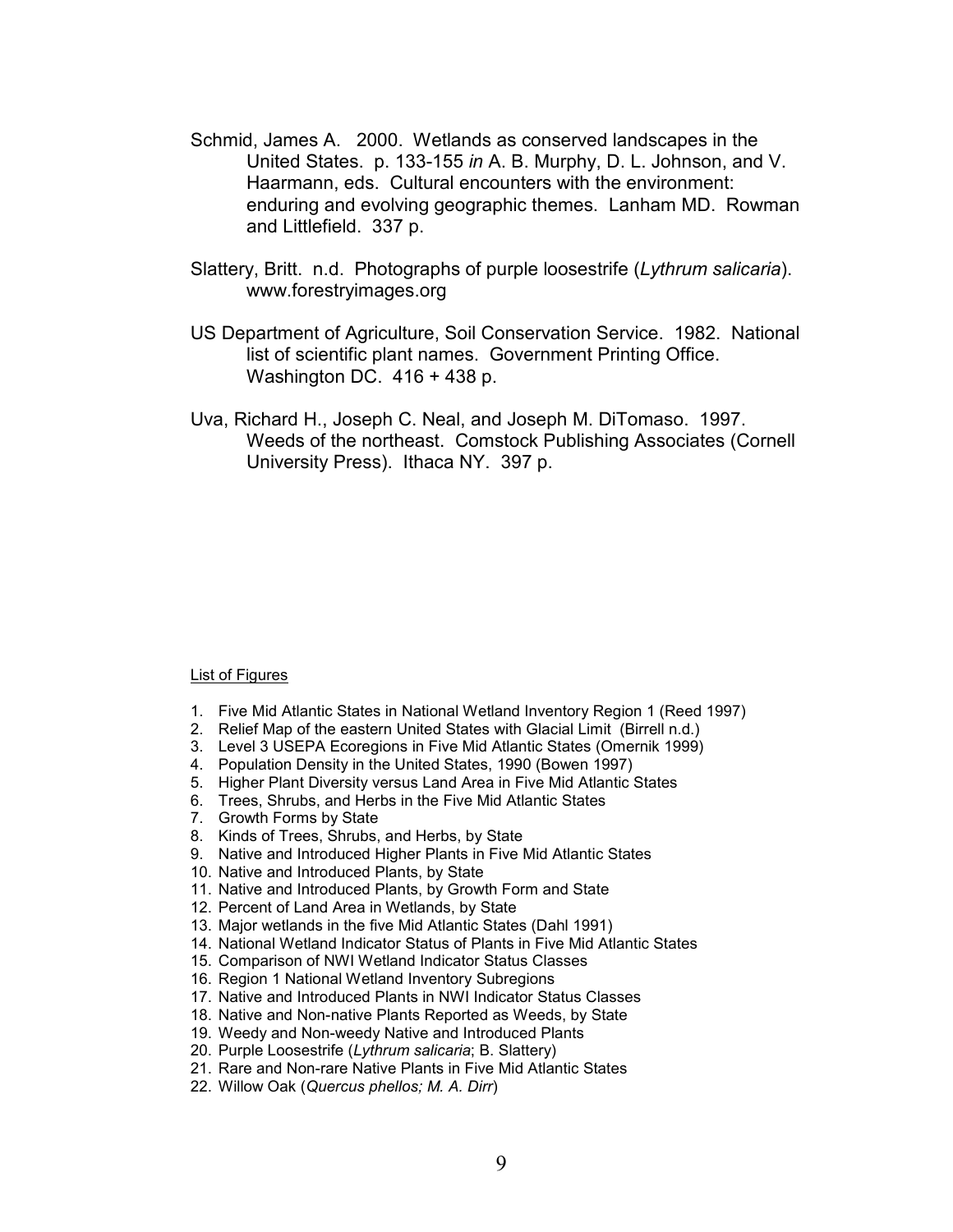- Schmid, James A. 2000. Wetlands as conserved landscapes in the United States. p. 133-155 *in* A. B. Murphy, D. L. Johnson, and V. Haarmann, eds. Cultural encounters with the environment: enduring and evolving geographic themes. Lanham MD. Rowman and Littlefield. 337 p.
- Slattery, Britt. n.d. Photographs of purple loosestrife (*Lythrum salicaria*). www.forestryimages.org
- US Department of Agriculture, Soil Conservation Service. 1982. National list of scientific plant names. Government Printing Office. Washington DC. 416 + 438 p.
- Uva, Richard H., Joseph C. Neal, and Joseph M. DiTomaso. 1997. Weeds of the northeast. Comstock Publishing Associates (Cornell University Press). Ithaca NY. 397 p.

## List of Figures

- 1. Five Mid Atlantic States in National Wetland Inventory Region 1 (Reed 1997)
- 2. Relief Map of the eastern United States with Glacial Limit (Birrell n.d.)
- 3. Level 3 USEPA Ecoregions in Five Mid Atlantic States (Omernik 1999)
- 4. Population Density in the United States, 1990 (Bowen 1997)
- 5. Higher Plant Diversity versus Land Area in Five Mid Atlantic States
- 6. Trees, Shrubs, and Herbs in the Five Mid Atlantic States
- 7. Growth Forms by State
- 8. Kinds of Trees, Shrubs, and Herbs, by State
- 9. Native and Introduced Higher Plants in Five Mid Atlantic States
- 10. Native and Introduced Plants, by State
- 11. Native and Introduced Plants, by Growth Form and State
- 12. Percent of Land Area in Wetlands, by State
- 13. Major wetlands in the five Mid Atlantic States (Dahl 1991)
- 14. National Wetland Indicator Status of Plants in Five Mid Atlantic States
- 15. Comparison of NWI Wetland Indicator Status Classes
- 16. Region 1 National Wetland Inventory Subregions
- 17. Native and Introduced Plants in NWI Indicator Status Classes
- 18. Native and Non-native Plants Reported as Weeds, by State
- 19. Weedy and Non-weedy Native and Introduced Plants
- 20. Purple Loosestrife (*Lythrum salicaria*; B. Slattery)
- 21. Rare and Non-rare Native Plants in Five Mid Atlantic States
- 22. Willow Oak (*Quercus phellos; M. A. Dirr*)